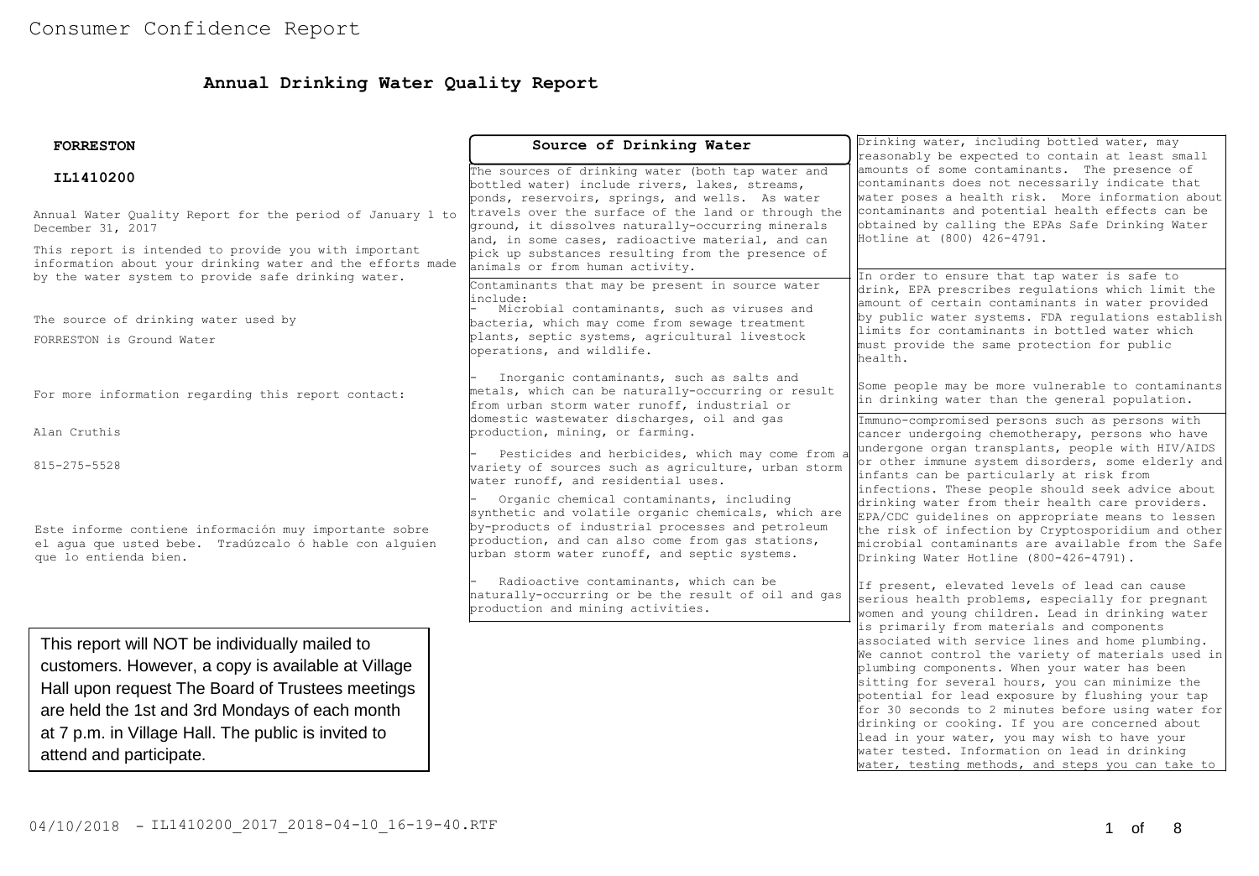## **Annual Drinking Water Quality Report**

| <b>FORRESTON</b>                                                                                                                                                                                                                                                                             | Source of Drinking Water                                                                                                                                                                                                                                                                                                                                                                                    | Drinking water, including bottled water, may<br>reasonably be expected to contain at least small                                                                                                                                                                                                                                                                                                                                                                                                                               |  |  |  |
|----------------------------------------------------------------------------------------------------------------------------------------------------------------------------------------------------------------------------------------------------------------------------------------------|-------------------------------------------------------------------------------------------------------------------------------------------------------------------------------------------------------------------------------------------------------------------------------------------------------------------------------------------------------------------------------------------------------------|--------------------------------------------------------------------------------------------------------------------------------------------------------------------------------------------------------------------------------------------------------------------------------------------------------------------------------------------------------------------------------------------------------------------------------------------------------------------------------------------------------------------------------|--|--|--|
| IL1410200<br>Annual Water Quality Report for the period of January 1 to<br>December 31, 2017                                                                                                                                                                                                 | The sources of drinking water (both tap water and<br>bottled water) include rivers, lakes, streams,<br>ponds, reservoirs, springs, and wells. As water<br>travels over the surface of the land or through the<br>ground, it dissolves naturally-occurring minerals<br>and, in some cases, radioactive material, and can                                                                                     | amounts of some contaminants. The presence of<br>contaminants does not necessarily indicate that<br>water poses a health risk. More information about<br>contaminants and potential health effects can be<br>obtained by calling the EPAs Safe Drinking Water<br>Hotline at (800) 426-4791.                                                                                                                                                                                                                                    |  |  |  |
| This report is intended to provide you with important<br>information about your drinking water and the efforts made<br>by the water system to provide safe drinking water.                                                                                                                   | pick up substances resulting from the presence of<br>animals or from human activity.<br>Contaminants that may be present in source water<br>linclude:                                                                                                                                                                                                                                                       | In order to ensure that tap water is safe to<br>drink, EPA prescribes regulations which limit the<br>amount of certain contaminants in water provided                                                                                                                                                                                                                                                                                                                                                                          |  |  |  |
| The source of drinking water used by<br>FORRESTON is Ground Water                                                                                                                                                                                                                            | Microbial contaminants, such as viruses and<br>bacteria, which may come from sewage treatment<br>plants, septic systems, agricultural livestock<br>operations, and wildlife.                                                                                                                                                                                                                                | by public water systems. FDA requlations establish<br>limits for contaminants in bottled water which<br>must provide the same protection for public<br>health.                                                                                                                                                                                                                                                                                                                                                                 |  |  |  |
| For more information regarding this report contact:                                                                                                                                                                                                                                          | Inorganic contaminants, such as salts and<br>metals, which can be naturally-occurring or result<br>from urban storm water runoff, industrial or                                                                                                                                                                                                                                                             | Some people may be more vulnerable to contaminants<br>in drinking water than the general population.                                                                                                                                                                                                                                                                                                                                                                                                                           |  |  |  |
| Alan Cruthis                                                                                                                                                                                                                                                                                 | domestic wastewater discharges, oil and gas<br>production, mining, or farming.                                                                                                                                                                                                                                                                                                                              | Immuno-compromised persons such as persons with<br>cancer undergoing chemotherapy, persons who have                                                                                                                                                                                                                                                                                                                                                                                                                            |  |  |  |
| 815-275-5528<br>Este informe contiene información muy importante sobre<br>el aqua que usted bebe. Tradúzcalo ó hable con alquien<br>que lo entienda bien.                                                                                                                                    | Pesticides and herbicides, which may come from a<br>wariety of sources such as agriculture, urban storm<br>water runoff, and residential uses.<br>Organic chemical contaminants, including<br>synthetic and volatile organic chemicals, which are<br>by-products of industrial processes and petroleum<br>production, and can also come from gas stations,<br>urban storm water runoff, and septic systems. | undergone organ transplants, people with HIV/AIDS<br>or other immune system disorders, some elderly and<br>infants can be particularly at risk from<br>infections. These people should seek advice about<br>drinking water from their health care providers.<br>EPA/CDC quidelines on appropriate means to lessen<br>the risk of infection by Cryptosporidium and other<br>microbial contaminants are available from the Safe<br>Drinking Water Hotline (800-426-4791).                                                        |  |  |  |
|                                                                                                                                                                                                                                                                                              | Radioactive contaminants, which can be<br>naturally-occurring or be the result of oil and gas<br>production and mining activities.                                                                                                                                                                                                                                                                          | If present, elevated levels of lead can cause<br>serious health problems, especially for pregnant<br>women and young children. Lead in drinking water<br>is primarily from materials and components                                                                                                                                                                                                                                                                                                                            |  |  |  |
| This report will NOT be individually mailed to<br>customers. However, a copy is available at Village<br>Hall upon request The Board of Trustees meetings<br>are held the 1st and 3rd Mondays of each month<br>at 7 p.m. in Village Hall. The public is invited to<br>attend and participate. |                                                                                                                                                                                                                                                                                                                                                                                                             | associated with service lines and home plumbing.<br>We cannot control the variety of materials used in<br>plumbing components. When your water has been<br>sitting for several hours, you can minimize the<br>potential for lead exposure by flushing your tap<br>for 30 seconds to 2 minutes before using water for<br>drinking or cooking. If you are concerned about<br>lead in your water, you may wish to have your<br>water tested. Information on lead in drinking<br>water, testing methods, and steps you can take to |  |  |  |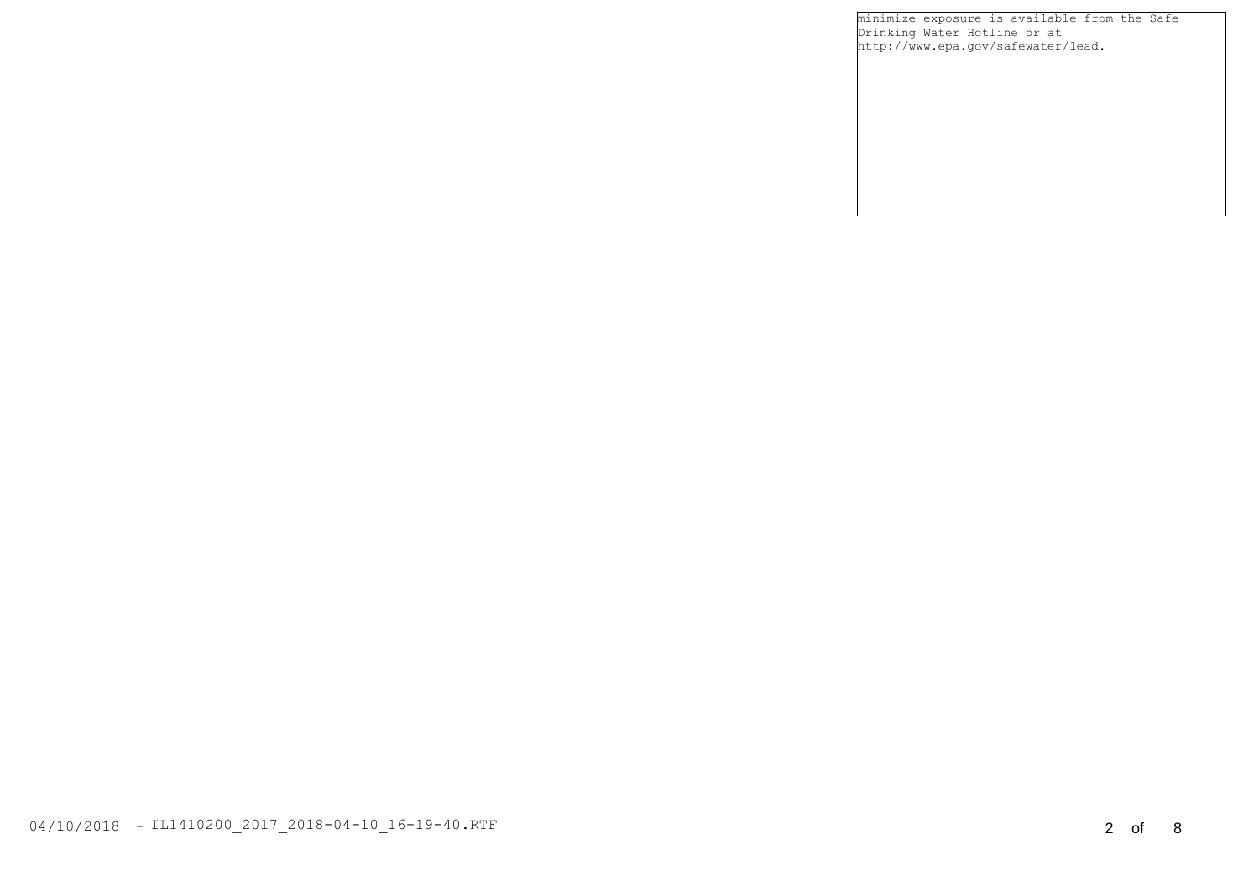minimize exposure is available from the Safe Drinking Water Hotline or at http://www.epa.gov/safewater/lead.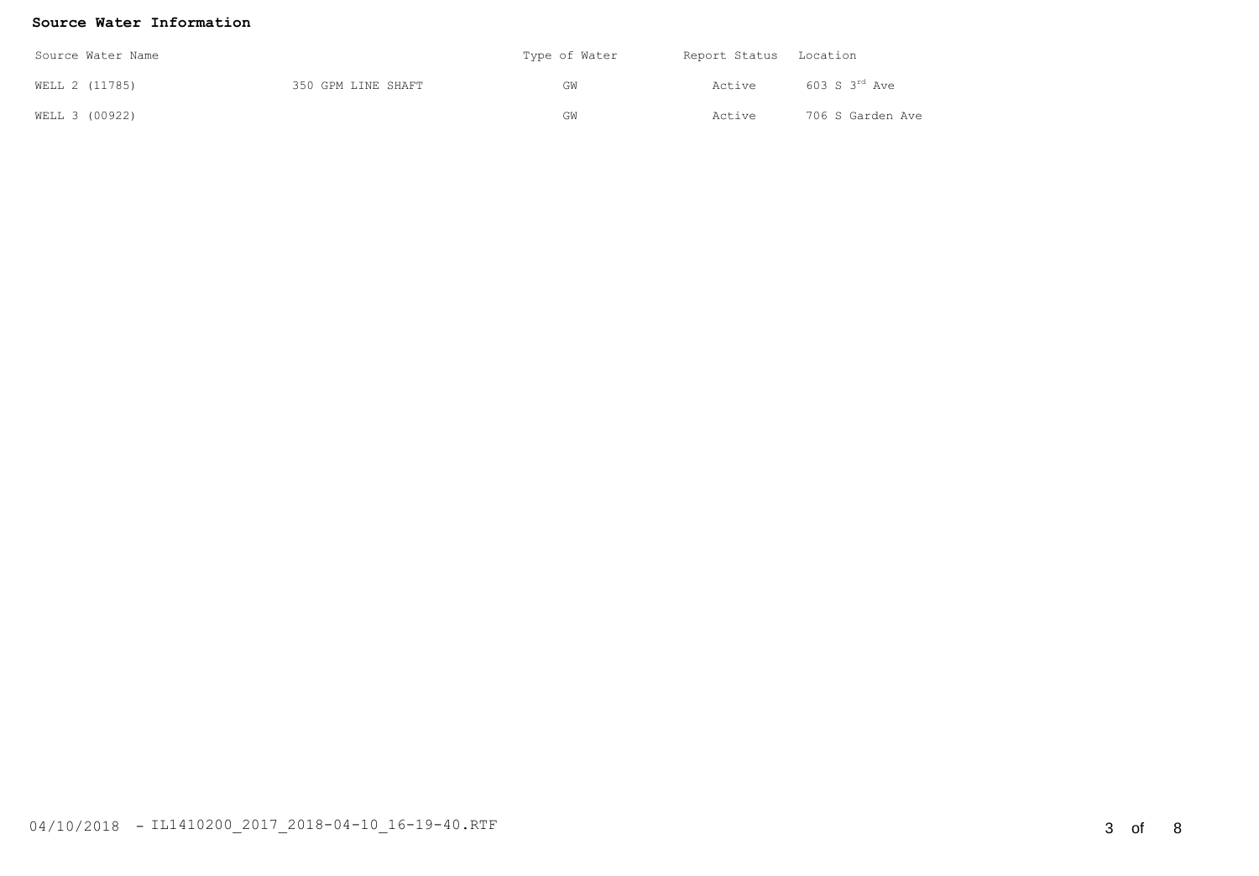#### **Source Water Information**

| Source Water Name |                |                    | Type of Water | Report Status Location |                    |  |
|-------------------|----------------|--------------------|---------------|------------------------|--------------------|--|
|                   | WELL 2 (11785) | 350 GPM LINE SHAFT | GW            | Active                 | 603 S $3^{rd}$ Ave |  |
|                   | WELL 3 (00922) |                    | GW            | Active                 | 706 S Garden Ave   |  |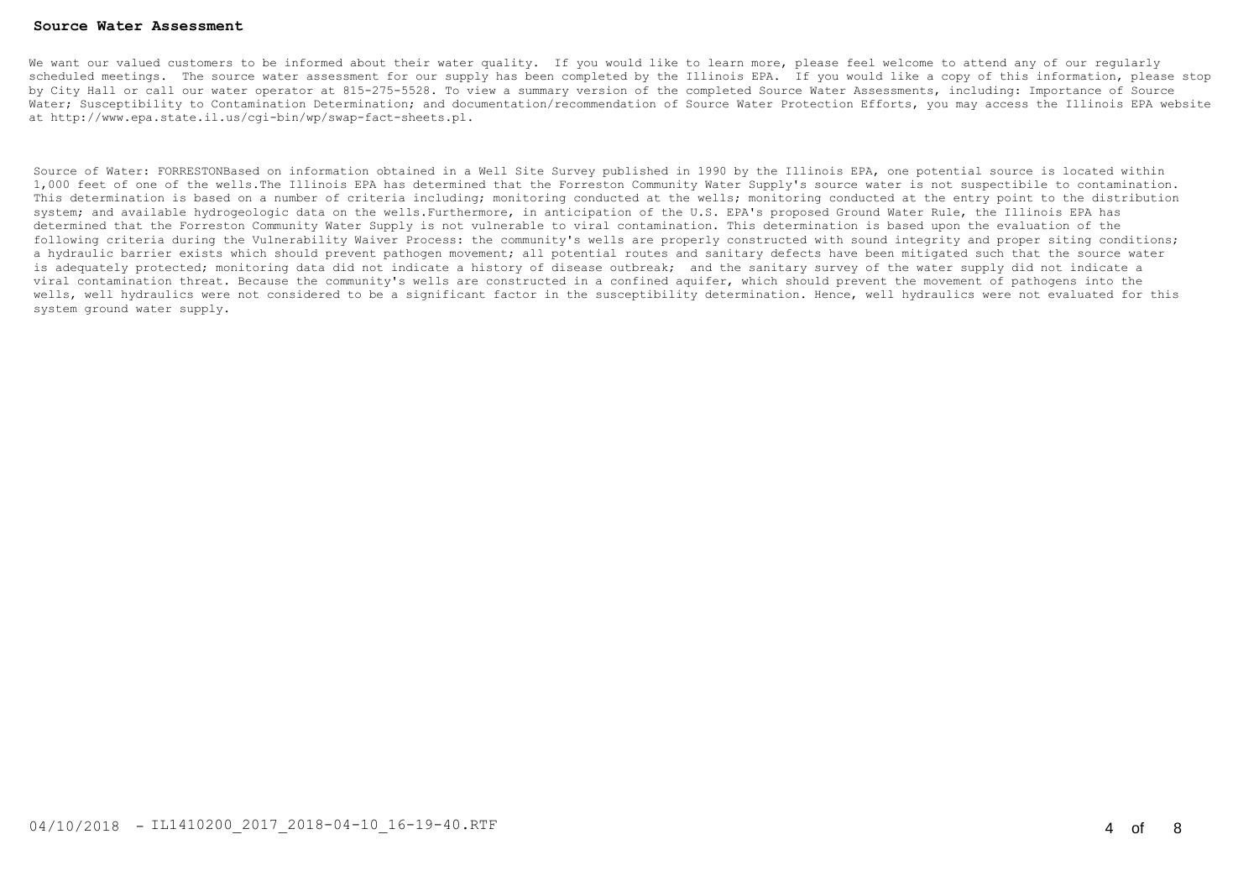#### **Source Water Assessment**

We want our valued customers to be informed about their water quality. If you would like to learn more, please feel welcome to attend any of our regularly scheduled meetings. The source water assessment for our supply has been completed by the Illinois EPA. If you would like a copy of this information, please stop by City Hall or call our water operator at 815-275-5528. To view a summary version of the completed Source Water Assessments, including: Importance of Source Water; Susceptibility to Contamination Determination; and documentation/recommendation of Source Water Protection Efforts, you may access the Illinois EPA website at http://www.epa.state.il.us/cgi-bin/wp/swap-fact-sheets.pl.

Source of Water: FORRESTONBased on information obtained in a Well Site Survey published in 1990 by the Illinois EPA, one potential source is located within 1,000 feet of one of the wells.The Illinois EPA has determined that the Forreston Community Water Supply's source water is not suspectibile to contamination. This determination is based on a number of criteria including; monitoring conducted at the wells; monitoring conducted at the entry point to the distribution system; and available hydrogeologic data on the wells.Furthermore, in anticipation of the U.S. EPA's proposed Ground Water Rule, the Illinois EPA has determined that the Forreston Community Water Supply is not vulnerable to viral contamination. This determination is based upon the evaluation of the following criteria during the Vulnerability Waiver Process: the community's wells are properly constructed with sound integrity and proper siting conditions; a hydraulic barrier exists which should prevent pathogen movement; all potential routes and sanitary defects have been mitigated such that the source water is adequately protected; monitoring data did not indicate a history of disease outbreak; and the sanitary survey of the water supply did not indicate a viral contamination threat. Because the community's wells are constructed in a confined aquifer, which should prevent the movement of pathogens into the wells, well hydraulics were not considered to be a significant factor in the susceptibility determination. Hence, well hydraulics were not evaluated for this system ground water supply.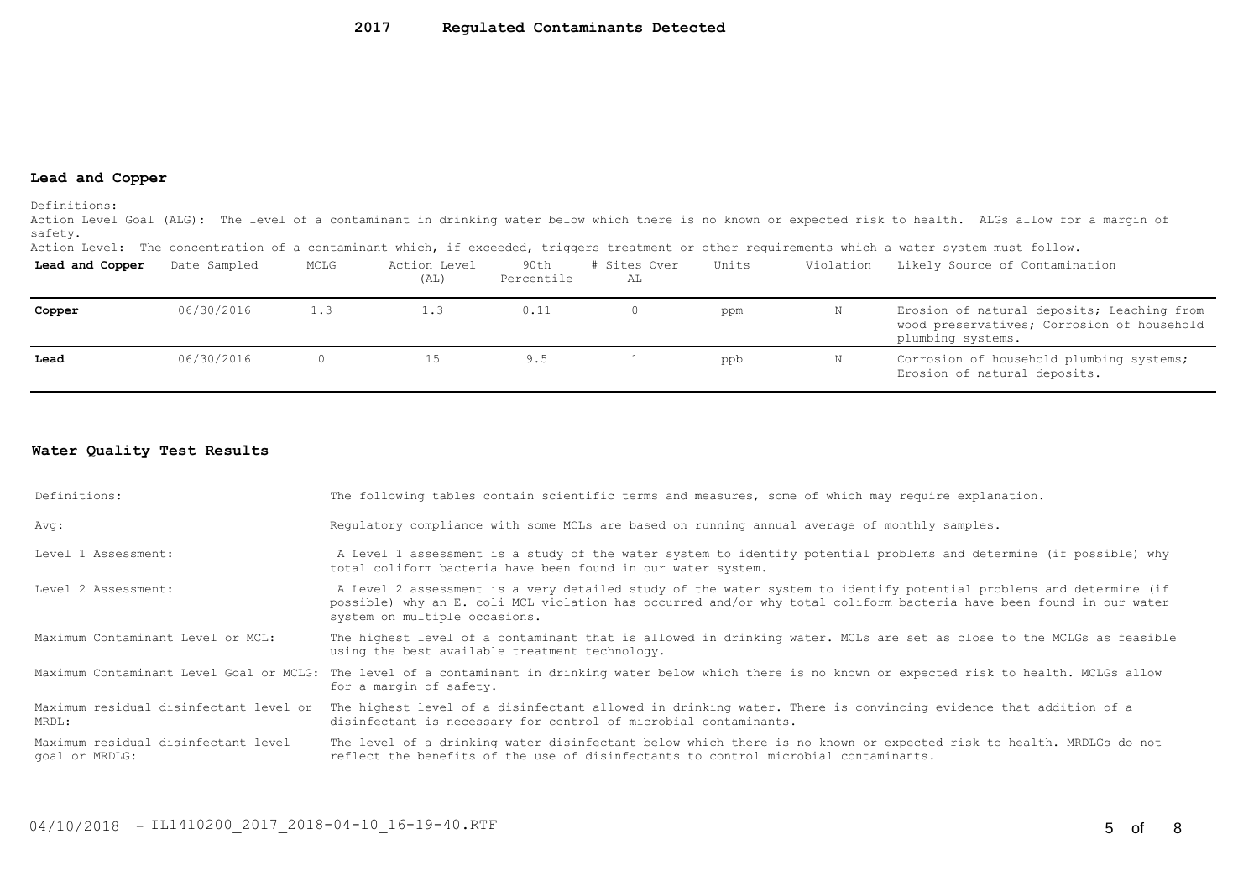#### **Lead and Copper**

Definitions:

Action Level Goal (ALG): The level of a contaminant in drinking water below which there is no known or expected risk to health. ALGs allow for a margin of safety.

Action Level: The concentration of a contaminant which, if exceeded, triggers treatment or other requirements which a water system must follow.

| Lead and Copper | Date Sampled | MCLG | Action Level<br>(AL) | 90th<br>Percentile | # Sites Over<br>AL | Units | Violation | Likely Source of Contamination                                                                                |
|-----------------|--------------|------|----------------------|--------------------|--------------------|-------|-----------|---------------------------------------------------------------------------------------------------------------|
| Copper          | 06/30/2016   | 1.3  | 1.3                  | 0.11               |                    | ppm   |           | Erosion of natural deposits; Leaching from<br>wood preservatives; Corrosion of household<br>plumbing systems. |
| Lead            | 06/30/2016   |      |                      | 9.5                |                    | ppb   |           | Corrosion of household plumbing systems;<br>Erosion of natural deposits.                                      |

#### **Water Quality Test Results**

| Definitions:                                          | The following tables contain scientific terms and measures, some of which may require explanation.                                                                                                                                                                         |
|-------------------------------------------------------|----------------------------------------------------------------------------------------------------------------------------------------------------------------------------------------------------------------------------------------------------------------------------|
| Avg:                                                  | Requlatory compliance with some MCLs are based on running annual average of monthly samples.                                                                                                                                                                               |
| Level 1 Assessment:                                   | A Level 1 assessment is a study of the water system to identify potential problems and determine (if possible) why<br>total coliform bacteria have been found in our water system.                                                                                         |
| Level 2 Assessment:                                   | A Level 2 assessment is a very detailed study of the water system to identify potential problems and determine (if<br>possible) why an E. coli MCL violation has occurred and/or why total coliform bacteria have been found in our water<br>system on multiple occasions. |
| Maximum Contaminant Level or MCL:                     | The highest level of a contaminant that is allowed in drinking water. MCLs are set as close to the MCLGs as feasible<br>using the best available treatment technology.                                                                                                     |
|                                                       | Maximum Contaminant Level Goal or MCLG: The level of a contaminant in drinking water below which there is no known or expected risk to health. MCLGs allow<br>for a margin of safety.                                                                                      |
| MRDL:                                                 | Maximum residual disinfectant level or The highest level of a disinfectant allowed in drinking water. There is convincing evidence that addition of a<br>disinfectant is necessary for control of microbial contaminants.                                                  |
| Maximum residual disinfectant level<br>goal or MRDLG: | The level of a drinking water disinfectant below which there is no known or expected risk to health. MRDLGs do not<br>reflect the benefits of the use of disinfectants to control microbial contaminants.                                                                  |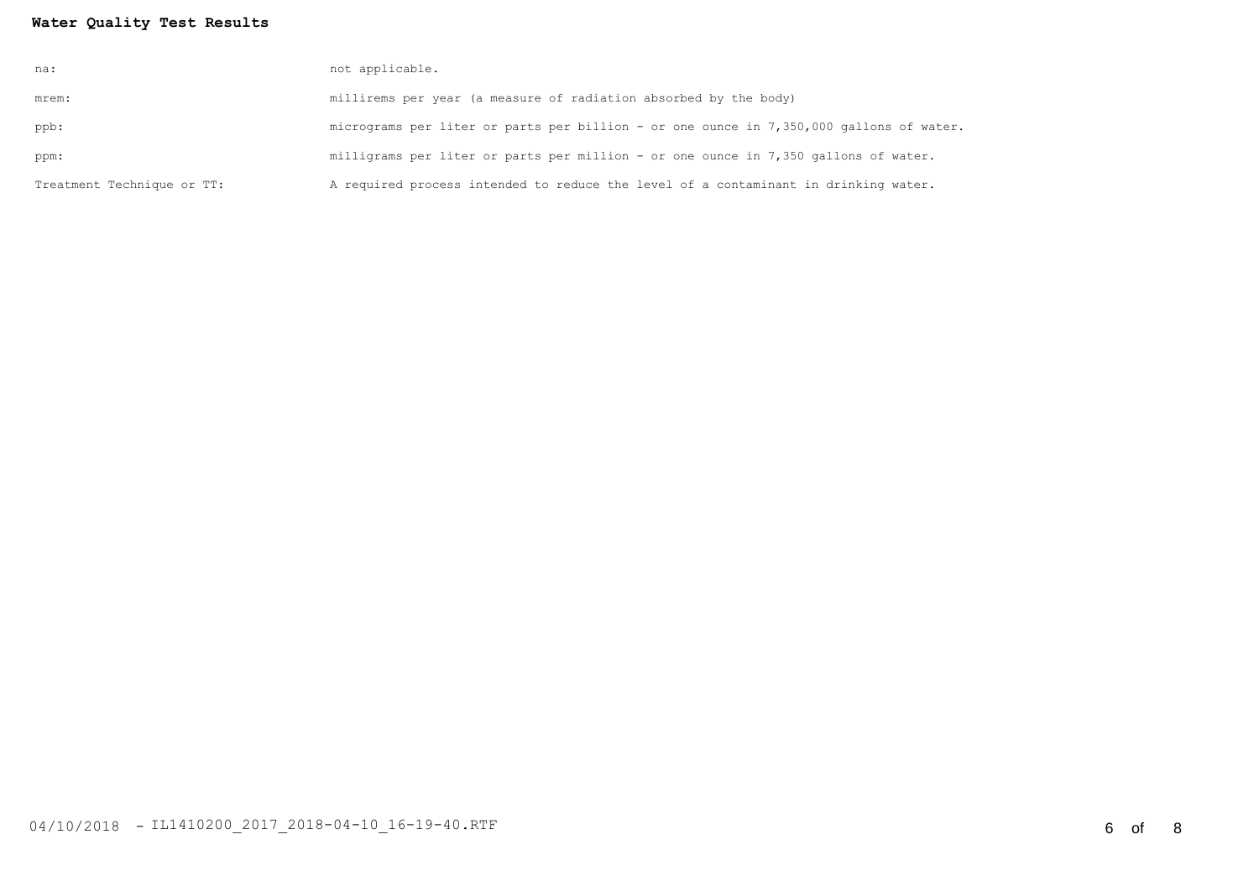### **Water Quality Test Results**

| na:                        | not applicable.                                                                         |
|----------------------------|-----------------------------------------------------------------------------------------|
| mrem:                      | millirems per year (a measure of radiation absorbed by the body)                        |
| ppb:                       | micrograms per liter or parts per billion - or one ounce in 7,350,000 gallons of water. |
| ppm:                       | milligrams per liter or parts per million - or one ounce in 7,350 gallons of water.     |
| Treatment Technique or TT: | A required process intended to reduce the level of a contaminant in drinking water.     |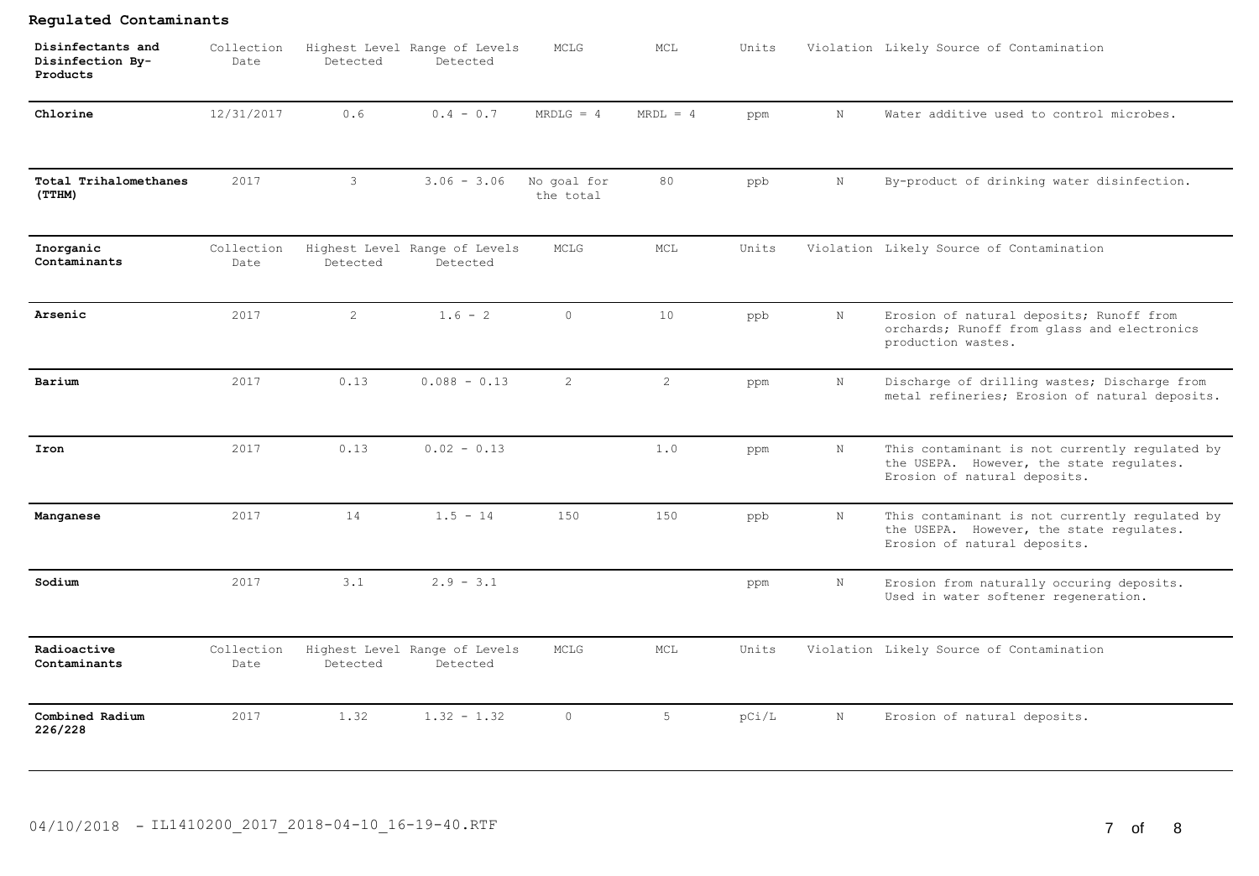| Disinfectants and<br>Disinfection By-<br>Products | Collection<br>Date | Detected       | Highest Level Range of Levels<br>Detected | MCLG                     | MCL            | Units |             | Violation Likely Source of Contamination                                                                                   |
|---------------------------------------------------|--------------------|----------------|-------------------------------------------|--------------------------|----------------|-------|-------------|----------------------------------------------------------------------------------------------------------------------------|
| Chlorine                                          | 12/31/2017         | 0.6            | $0.4 - 0.7$                               | $MRDLG = 4$              | $MRDL = 4$     | ppm   | $\mathbb N$ | Water additive used to control microbes.                                                                                   |
| Total Trihalomethanes<br>(TTHM)                   | 2017               | 3              | $3.06 - 3.06$                             | No goal for<br>the total | 80             | ppb   | $\mathbf N$ | By-product of drinking water disinfection.                                                                                 |
| Inorganic<br>Contaminants                         | Collection<br>Date | Detected       | Highest Level Range of Levels<br>Detected | MCLG                     | MCL            | Units |             | Violation Likely Source of Contamination                                                                                   |
| Arsenic                                           | 2017               | $\overline{2}$ | $1.6 - 2$                                 | $\circ$                  | 10             | ppb   | $\mathbb N$ | Erosion of natural deposits; Runoff from<br>orchards; Runoff from glass and electronics<br>production wastes.              |
| Barium                                            | 2017               | 0.13           | $0.088 - 0.13$                            | $\overline{2}$           | $\overline{c}$ | ppm   | N           | Discharge of drilling wastes; Discharge from<br>metal refineries; Erosion of natural deposits.                             |
| Iron                                              | 2017               | 0.13           | $0.02 - 0.13$                             |                          | 1.0            | ppm   | N           | This contaminant is not currently regulated by<br>the USEPA. However, the state regulates.<br>Erosion of natural deposits. |
| Manganese                                         | 2017               | 14             | $1.5 - 14$                                | 150                      | 150            | ppb   | N           | This contaminant is not currently regulated by<br>the USEPA. However, the state regulates.<br>Erosion of natural deposits. |
| Sodium                                            | 2017               | 3.1            | $2.9 - 3.1$                               |                          |                | ppm   | $\mathbb N$ | Erosion from naturally occuring deposits.<br>Used in water softener regeneration.                                          |
| Radioactive<br>Contaminants                       | Collection<br>Date | Detected       | Highest Level Range of Levels<br>Detected | MCLG                     | MCL            | Units |             | Violation Likely Source of Contamination                                                                                   |
| Combined Radium<br>226/228                        | 2017               | 1.32           | $1.32 - 1.32$                             | $\circ$                  | 5              | pCi/L | $\mathbb N$ | Erosion of natural deposits.                                                                                               |

# 04/10/2018 - IL1410200\_2017\_2018-04-10\_16-19-40.RTF 7 of 8

**Regulated Contaminants**